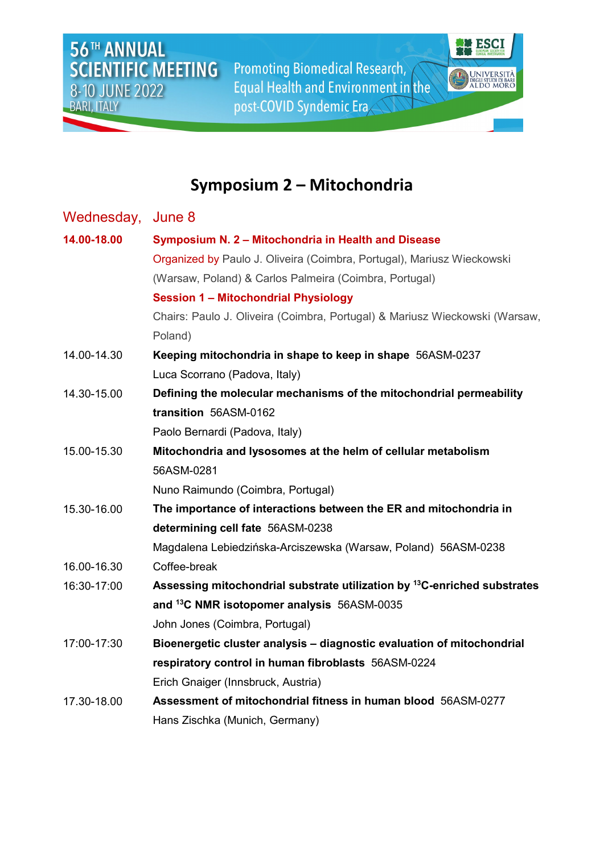**Promoting Biomedical Research,** Equal Health and Environment in the post-COVID Syndemic Era



## **Symposium 2 – Mitochondria**

## Wednesday, June 8

| 14.00-18.00 | Symposium N. 2 - Mitochondria in Health and Disease                                  |
|-------------|--------------------------------------------------------------------------------------|
|             | Organized by Paulo J. Oliveira (Coimbra, Portugal), Mariusz Wieckowski               |
|             | (Warsaw, Poland) & Carlos Palmeira (Coimbra, Portugal)                               |
|             | <b>Session 1 - Mitochondrial Physiology</b>                                          |
|             | Chairs: Paulo J. Oliveira (Coimbra, Portugal) & Mariusz Wieckowski (Warsaw,          |
|             | Poland)                                                                              |
| 14.00-14.30 | Keeping mitochondria in shape to keep in shape 56ASM-0237                            |
|             | Luca Scorrano (Padova, Italy)                                                        |
| 14.30-15.00 | Defining the molecular mechanisms of the mitochondrial permeability                  |
|             | transition 56ASM-0162                                                                |
|             | Paolo Bernardi (Padova, Italy)                                                       |
| 15.00-15.30 | Mitochondria and lysosomes at the helm of cellular metabolism                        |
|             | 56ASM-0281                                                                           |
|             | Nuno Raimundo (Coimbra, Portugal)                                                    |
| 15.30-16.00 | The importance of interactions between the ER and mitochondria in                    |
|             | determining cell fate 56ASM-0238                                                     |
|             | Magdalena Lebiedzińska-Arciszewska (Warsaw, Poland) 56ASM-0238                       |
| 16.00-16.30 | Coffee-break                                                                         |
| 16:30-17:00 | Assessing mitochondrial substrate utilization by <sup>13</sup> C-enriched substrates |
|             | and <sup>13</sup> C NMR isotopomer analysis 56ASM-0035                               |
|             | John Jones (Coimbra, Portugal)                                                       |
| 17:00-17:30 | Bioenergetic cluster analysis - diagnostic evaluation of mitochondrial               |
|             | respiratory control in human fibroblasts 56ASM-0224                                  |
|             | Erich Gnaiger (Innsbruck, Austria)                                                   |
| 17.30-18.00 | Assessment of mitochondrial fitness in human blood 56ASM-0277                        |
|             | Hans Zischka (Munich, Germany)                                                       |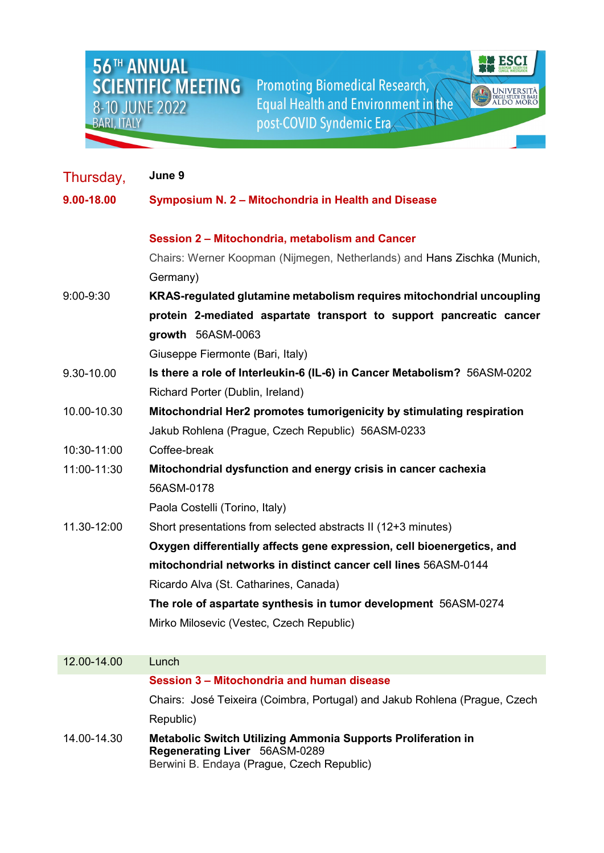## 56TH ANNUAL<br>SCIENTIFIC MEETING 8-10 JUNE 2022

**Promoting Biomedical Research,<br>Equal Health and Environment in the** post-COVID Syndemic Era



| Thursday,   | June 9                                                                                                                                             |
|-------------|----------------------------------------------------------------------------------------------------------------------------------------------------|
| 9.00-18.00  | Symposium N. 2 - Mitochondria in Health and Disease                                                                                                |
|             | Session 2 - Mitochondria, metabolism and Cancer                                                                                                    |
|             | Chairs: Werner Koopman (Nijmegen, Netherlands) and Hans Zischka (Munich,                                                                           |
|             | Germany)                                                                                                                                           |
| 9:00-9:30   | KRAS-regulated glutamine metabolism requires mitochondrial uncoupling                                                                              |
|             | protein 2-mediated aspartate transport to support pancreatic cancer                                                                                |
|             | growth 56ASM-0063                                                                                                                                  |
|             | Giuseppe Fiermonte (Bari, Italy)                                                                                                                   |
| 9.30-10.00  | Is there a role of Interleukin-6 (IL-6) in Cancer Metabolism? 56ASM-0202                                                                           |
|             | Richard Porter (Dublin, Ireland)                                                                                                                   |
| 10.00-10.30 | Mitochondrial Her2 promotes tumorigenicity by stimulating respiration                                                                              |
|             | Jakub Rohlena (Prague, Czech Republic) 56ASM-0233                                                                                                  |
| 10:30-11:00 | Coffee-break                                                                                                                                       |
| 11:00-11:30 | Mitochondrial dysfunction and energy crisis in cancer cachexia                                                                                     |
|             | 56ASM-0178                                                                                                                                         |
|             | Paola Costelli (Torino, Italy)                                                                                                                     |
| 11.30-12:00 | Short presentations from selected abstracts II (12+3 minutes)                                                                                      |
|             | Oxygen differentially affects gene expression, cell bioenergetics, and                                                                             |
|             | mitochondrial networks in distinct cancer cell lines 56ASM-0144                                                                                    |
|             | Ricardo Alva (St. Catharines, Canada)                                                                                                              |
|             | The role of aspartate synthesis in tumor development 56ASM-0274                                                                                    |
|             | Mirko Milosevic (Vestec, Czech Republic)                                                                                                           |
| 12.00-14.00 | Lunch                                                                                                                                              |
|             | Session 3 - Mitochondria and human disease                                                                                                         |
|             | Chairs: José Teixeira (Coimbra, Portugal) and Jakub Rohlena (Prague, Czech                                                                         |
|             | Republic)                                                                                                                                          |
| 14.00-14.30 | <b>Metabolic Switch Utilizing Ammonia Supports Proliferation in</b><br>Regenerating Liver 56ASM-0289<br>Berwini B. Endaya (Prague, Czech Republic) |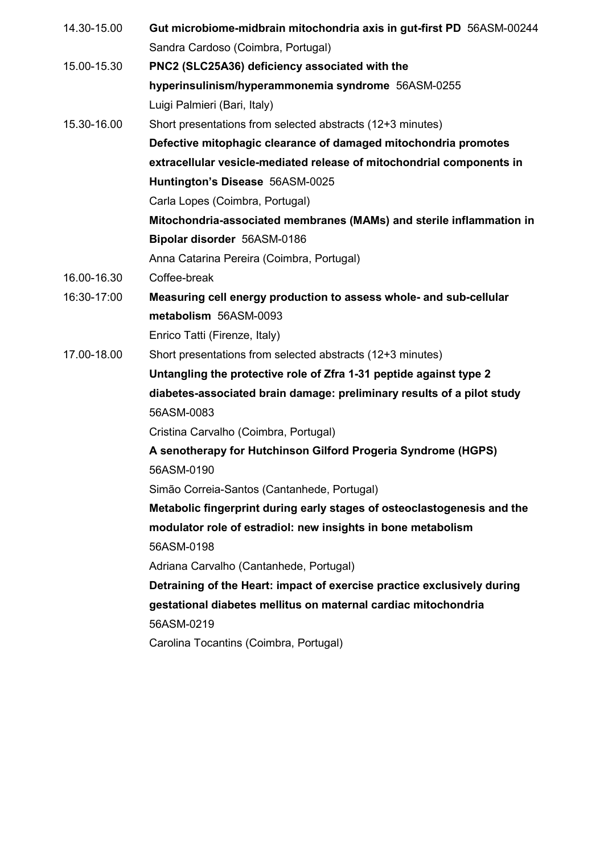| 14.30-15.00 | Gut microbiome-midbrain mitochondria axis in gut-first PD 56ASM-00244                |
|-------------|--------------------------------------------------------------------------------------|
|             | Sandra Cardoso (Coimbra, Portugal)                                                   |
| 15.00-15.30 | PNC2 (SLC25A36) deficiency associated with the                                       |
|             | hyperinsulinism/hyperammonemia syndrome 56ASM-0255                                   |
|             | Luigi Palmieri (Bari, Italy)                                                         |
| 15.30-16.00 | Short presentations from selected abstracts (12+3 minutes)                           |
|             | Defective mitophagic clearance of damaged mitochondria promotes                      |
|             | extracellular vesicle-mediated release of mitochondrial components in                |
|             | Huntington's Disease 56ASM-0025                                                      |
|             | Carla Lopes (Coimbra, Portugal)                                                      |
|             | Mitochondria-associated membranes (MAMs) and sterile inflammation in                 |
|             | Bipolar disorder 56ASM-0186                                                          |
|             | Anna Catarina Pereira (Coimbra, Portugal)                                            |
| 16.00-16.30 | Coffee-break                                                                         |
| 16:30-17:00 | Measuring cell energy production to assess whole- and sub-cellular                   |
|             | metabolism 56ASM-0093                                                                |
|             | Enrico Tatti (Firenze, Italy)                                                        |
| 17.00-18.00 | Short presentations from selected abstracts (12+3 minutes)                           |
|             | Untangling the protective role of Zfra 1-31 peptide against type 2                   |
|             | diabetes-associated brain damage: preliminary results of a pilot study<br>56ASM-0083 |
|             | Cristina Carvalho (Coimbra, Portugal)                                                |
|             | A senotherapy for Hutchinson Gilford Progeria Syndrome (HGPS)                        |
|             | 56ASM-0190                                                                           |
|             | Simão Correia-Santos (Cantanhede, Portugal)                                          |
|             | Metabolic fingerprint during early stages of osteoclastogenesis and the              |
|             | modulator role of estradiol: new insights in bone metabolism                         |
|             | 56ASM-0198                                                                           |
|             | Adriana Carvalho (Cantanhede, Portugal)                                              |
|             | Detraining of the Heart: impact of exercise practice exclusively during              |
|             | gestational diabetes mellitus on maternal cardiac mitochondria                       |
|             | 56ASM-0219                                                                           |
|             | Carolina Tocantins (Coimbra, Portugal)                                               |
|             |                                                                                      |